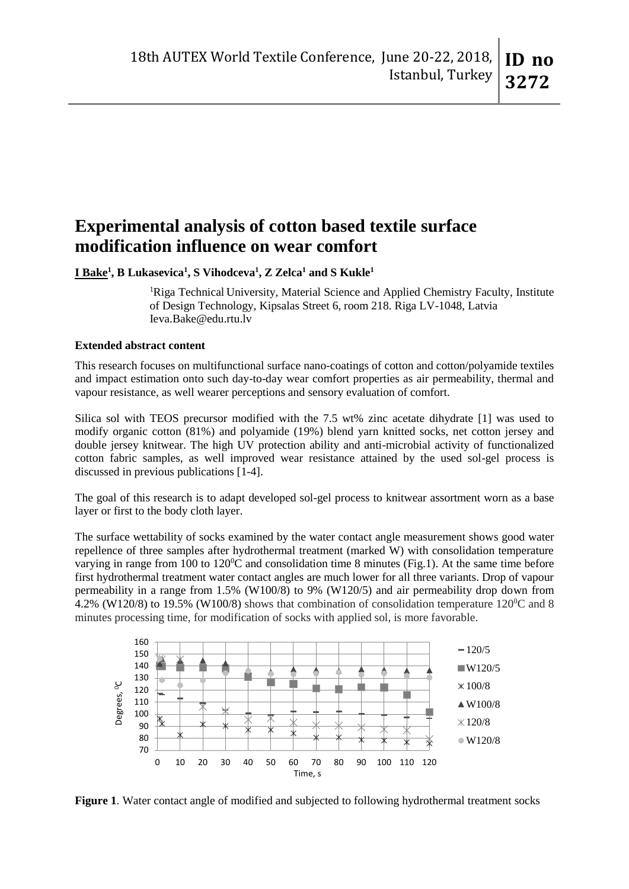# **Experimental analysis of cotton based textile surface modification influence on wear comfort**

**I Bake<sup>1</sup> , B Lukasevica<sup>1</sup> , S Vihodceva<sup>1</sup> , Z Zelca<sup>1</sup> and S Kukle<sup>1</sup>**

<sup>1</sup>Riga Technical University, Material Science and Applied Chemistry Faculty, Institute of Design Technology, Kipsalas Street 6, room 218. Riga LV-1048, Latvia Ieva.Bake@edu.rtu.lv

## **Extended abstract content**

This research focuses on multifunctional surface nano-coatings of cotton and cotton/polyamide textiles and impact estimation onto such day-to-day wear comfort properties as air permeability, thermal and vapour resistance, as well wearer perceptions and sensory evaluation of comfort.

Silica sol with TEOS precursor modified with the 7.5 wt% zinc acetate dihydrate [1] was used to modify organic cotton (81%) and polyamide (19%) blend yarn knitted socks, net cotton jersey and double jersey knitwear. The high UV protection ability and anti-microbial activity of functionalized cotton fabric samples, as well improved wear resistance attained by the used sol-gel process is discussed in previous publications [1-4].

The goal of this research is to adapt developed sol-gel process to knitwear assortment worn as a base layer or first to the body cloth layer.

The surface wettability of socks examined by the water contact angle measurement shows good water repellence of three samples after hydrothermal treatment (marked W) with consolidation temperature varying in range from 100 to 120 $^{\circ}$ C and consolidation time 8 minutes (Fig.1). At the same time before first hydrothermal treatment water contact angles are much lower for all three variants. Drop of vapour permeability in a range from 1.5% (W100/8) to 9% (W120/5) and air permeability drop down from 4.2% (W120/8) to 19.5% (W100/8) shows that combination of consolidation temperature  $120^{\circ}$ C and 8 minutes processing time, for modification of socks with applied sol, is more favorable.



**Figure 1**. Water contact angle of modified and subjected to following hydrothermal treatment socks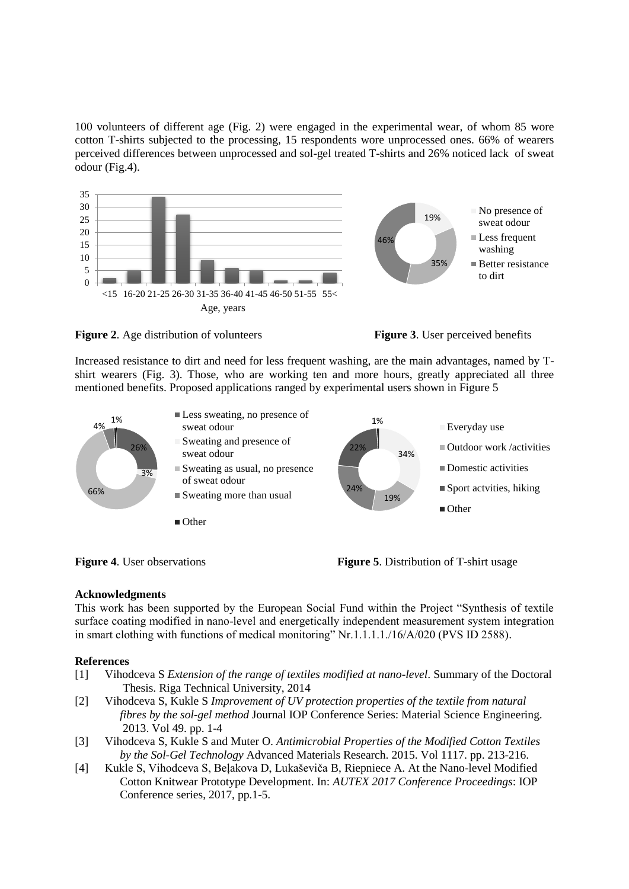100 volunteers of different age (Fig. 2) were engaged in the experimental wear, of whom 85 wore cotton T-shirts subjected to the processing, 15 respondents wore unprocessed ones. 66% of wearers perceived differences between unprocessed and sol-gel treated T-shirts and 26% noticed lack of sweat odour (Fig.4).







Increased resistance to dirt and need for less frequent washing, are the main advantages, named by Tshirt wearers (Fig. 3). Those, who are working ten and more hours, greatly appreciated all three mentioned benefits. Proposed applications ranged by experimental users shown in Figure 5





## **Acknowledgments**

This work has been supported by the European Social Fund within the Project "Synthesis of textile surface coating modified in nano-level and energetically independent measurement system integration in smart clothing with functions of medical monitoring" Nr.1.1.1.1./16/A/020 (PVS ID 2588).

## **References**

- [1] Vihodceva S *Extension of the range of textiles modified at nano-level*. Summary of the Doctoral Thesis. Riga Technical University, 2014
- [2] Vihodceva S, Kukle S *Improvement of UV protection properties of the textile from natural fibres by the sol-gel method* Journal IOP Conference Series: Material Science Engineering. 2013. Vol 49. pp. 1-4
- [3] Vihodceva S, Kukle S and Muter O. *Antimicrobial Properties of the Modified Cotton Textiles by the Sol-Gel Technology* Advanced Materials Research. 2015. Vol 1117. pp. 213-216.
- [4] Kukle S, Vihodceva S, Beļakova D, Lukaševiča B, Riepniece A. At the Nano-level Modified Cotton Knitwear Prototype Development. In: *AUTEX 2017 Conference Proceedings*: IOP Conference series, 2017, pp.1-5.